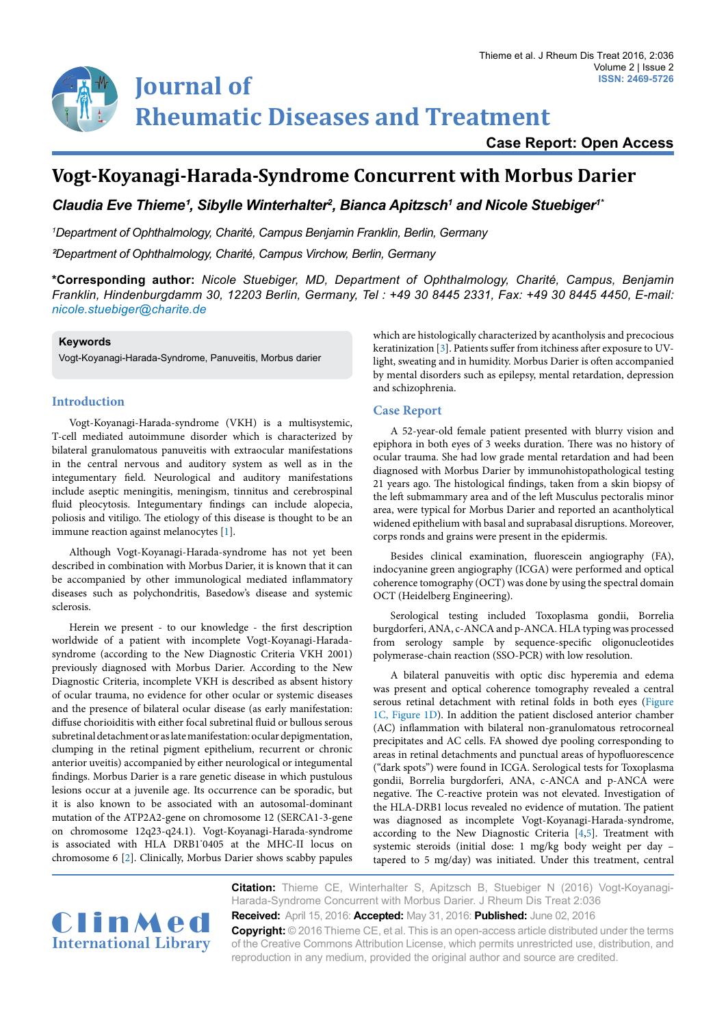# **Journal of Rheumatic Diseases and Treatment**

**Case Report: Open Access**

# **Vogt-Koyanagi-Harada-Syndrome Concurrent with Morbus Darier**

Claudia Eve Thieme<sup>1</sup>, Sibylle Winterhalter<sup>2</sup>, Bianca Apitzsch<sup>1</sup> and Nicole Stuebiger<sup>1</sup>

*1 Department of Ophthalmology, Charité, Campus Benjamin Franklin, Berlin, Germany*

*²Department of Ophthalmology, Charité, Campus Virchow, Berlin, Germany*

**\*Corresponding author:** *Nicole Stuebiger, MD, Department of Ophthalmology, Charité, Campus, Benjamin Franklin, Hindenburgdamm 30, 12203 Berlin, Germany, Tel : +49 30 8445 2331, Fax: +49 30 8445 4450, E-mail: nicole.stuebiger@charite.de*

#### **Keywords**

Vogt-Koyanagi-Harada-Syndrome, Panuveitis, Morbus darier

## **Introduction**

Vogt-Koyanagi-Harada-syndrome (VKH) is a multisystemic, T-cell mediated autoimmune disorder which is characterized by bilateral granulomatous panuveitis with extraocular manifestations in the central nervous and auditory system as well as in the integumentary field. Neurological and auditory manifestations include aseptic meningitis, meningism, tinnitus and cerebrospinal fluid pleocytosis. Integumentary findings can include alopecia, poliosis and vitiligo. The etiology of this disease is thought to be an immune reaction against melanocytes [[1](#page-2-0)].

Although Vogt-Koyanagi-Harada-syndrome has not yet been described in combination with Morbus Darier, it is known that it can be accompanied by other immunological mediated inflammatory diseases such as polychondritis, Basedow's disease and systemic sclerosis.

Herein we present - to our knowledge - the first description worldwide of a patient with incomplete Vogt-Koyanagi-Haradasyndrome (according to the New Diagnostic Criteria VKH 2001) previously diagnosed with Morbus Darier. According to the New Diagnostic Criteria, incomplete VKH is described as absent history of ocular trauma, no evidence for other ocular or systemic diseases and the presence of bilateral ocular disease (as early manifestation: diffuse chorioiditis with either focal subretinal fluid or bullous serous subretinal detachment or as late manifestation: ocular depigmentation, clumping in the retinal pigment epithelium, recurrent or chronic anterior uveitis) accompanied by either neurological or integumental findings. Morbus Darier is a rare genetic disease in which pustulous lesions occur at a juvenile age. Its occurrence can be sporadic, but it is also known to be associated with an autosomal-dominant mutation of the ATP2A2-gene on chromosome 12 (SERCA1-3-gene on chromosome 12q23-q24.1). Vogt-Koyanagi-Harada-syndrome is associated with HLA DRB1\* 0405 at the MHC-II locus on chromosome 6 [[2\]](#page-2-1). Clinically, Morbus Darier shows scabby papules

which are histologically characterized by acantholysis and precocious keratinization [[3](#page-2-2)]. Patients suffer from itchiness after exposure to UVlight, sweating and in humidity. Morbus Darier is often accompanied by mental disorders such as epilepsy, mental retardation, depression and schizophrenia.

### **Case Report**

A 52-year-old female patient presented with blurry vision and epiphora in both eyes of 3 weeks duration. There was no history of ocular trauma. She had low grade mental retardation and had been diagnosed with Morbus Darier by immunohistopathological testing 21 years ago. The histological findings, taken from a skin biopsy of the left submammary area and of the left Musculus pectoralis minor area, were typical for Morbus Darier and reported an acantholytical widened epithelium with basal and suprabasal disruptions. Moreover, corps ronds and grains were present in the epidermis.

Besides clinical examination, fluorescein angiography (FA), indocyanine green angiography (ICGA) were performed and optical coherence tomography (OCT) was done by using the spectral domain OCT (Heidelberg Engineering).

Serological testing included Toxoplasma gondii, Borrelia burgdorferi, ANA, c-ANCA and p-ANCA. HLA typing was processed from serology sample by sequence-specific oligonucleotides polymerase-chain reaction (SSO-PCR) with low resolution.

A bilateral panuveitis with optic disc hyperemia and edema was present and optical coherence tomography revealed a central serous retinal detachment with retinal folds in both eyes ([Figure](#page-1-0)  [1C, Figure 1D\)](#page-1-0). In addition the patient disclosed anterior chamber (AC) inflammation with bilateral non-granulomatous retrocorneal precipitates and AC cells. FA showed dye pooling corresponding to areas in retinal detachments and punctual areas of hypofluorescence ("dark spots") were found in ICGA. Serological tests for Toxoplasma gondii, Borrelia burgdorferi, ANA, c-ANCA and p-ANCA were negative. The C-reactive protein was not elevated. Investigation of the HLA-DRB1 locus revealed no evidence of mutation. The patient was diagnosed as incomplete Vogt-Koyanagi-Harada-syndrome, according to the New Diagnostic Criteria [\[4,](#page-2-3)[5](#page-2-4)]. Treatment with systemic steroids (initial dose: 1 mg/kg body weight per day – tapered to 5 mg/day) was initiated. Under this treatment, central



**Citation:** Thieme CE, Winterhalter S, Apitzsch B, Stuebiger N (2016) Vogt-Koyanagi-Harada-Syndrome Concurrent with Morbus Darier. J Rheum Dis Treat 2:036 **Received:** April 15, 2016: **Accepted:** May 31, 2016: **Published:** June 02, 2016

**Copyright:** © 2016 Thieme CE, et al. This is an open-access article distributed under the terms of the Creative Commons Attribution License, which permits unrestricted use, distribution, and reproduction in any medium, provided the original author and source are credited.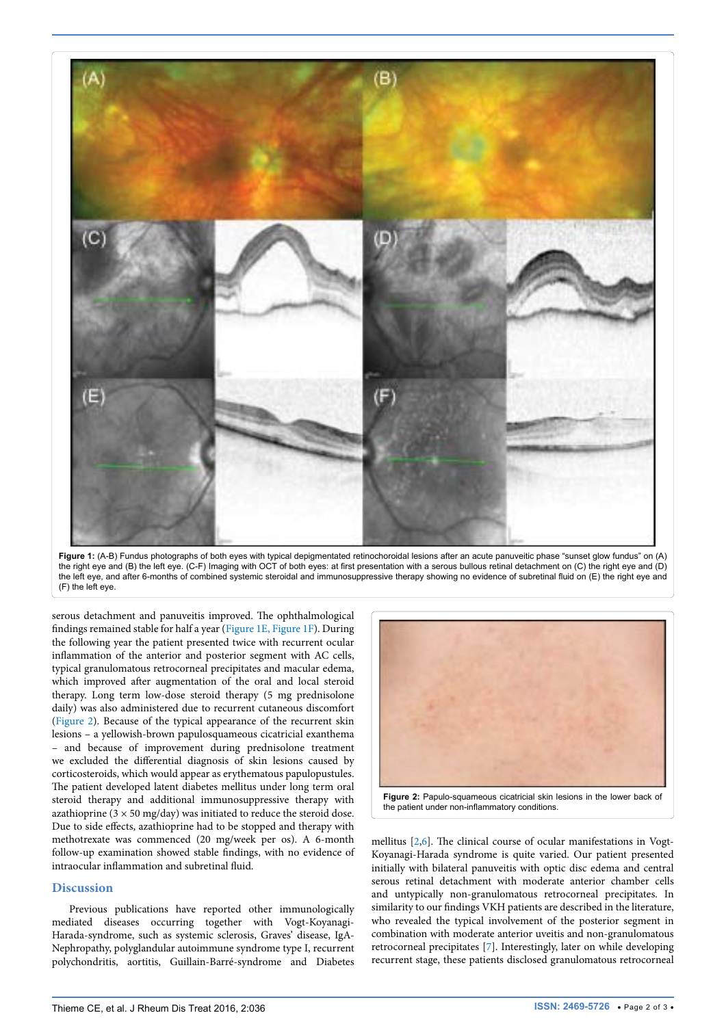<span id="page-1-0"></span>

**Figure 1:** (A-B) Fundus photographs of both eyes with typical depigmentated retinochoroidal lesions after an acute panuveitic phase "sunset glow fundus" on (A) the right eye and (B) the left eye. (C-F) Imaging with OCT of both eyes: at first presentation with a serous bullous retinal detachment on (C) the right eye and (D) the left eye, and after 6-months of combined systemic steroidal and immunosuppressive therapy showing no evidence of subretinal fluid on (E) the right eye and (F) the left eye.

serous detachment and panuveitis improved. The ophthalmological findings remained stable for half a year [\(Figure 1E, Figure 1F](#page-1-0)). During the following year the patient presented twice with recurrent ocular inflammation of the anterior and posterior segment with AC cells, typical granulomatous retrocorneal precipitates and macular edema, which improved after augmentation of the oral and local steroid therapy. Long term low-dose steroid therapy (5 mg prednisolone daily) was also administered due to recurrent cutaneous discomfort ([Figure 2](#page-1-1)). Because of the typical appearance of the recurrent skin lesions – a yellowish-brown papulosquameous cicatricial exanthema – and because of improvement during prednisolone treatment we excluded the differential diagnosis of skin lesions caused by corticosteroids, which would appear as erythematous papulopustules. The patient developed latent diabetes mellitus under long term oral steroid therapy and additional immunosuppressive therapy with azathioprine ( $3 \times 50$  mg/day) was initiated to reduce the steroid dose. Due to side effects, azathioprine had to be stopped and therapy with methotrexate was commenced (20 mg/week per os). A 6-month follow-up examination showed stable findings, with no evidence of intraocular inflammation and subretinal fluid.

#### **Discussion**

Previous publications have reported other immunologically mediated diseases occurring together with Vogt-Koyanagi-Harada-syndrome, such as systemic sclerosis, Graves' disease, IgA-Nephropathy, polyglandular autoimmune syndrome type I, recurrent polychondritis, aortitis, Guillain-Barré-syndrome and Diabetes

<span id="page-1-1"></span>

mellitus [[2,](#page-2-1)[6](#page-2-5)]. The clinical course of ocular manifestations in Vogt-Koyanagi-Harada syndrome is quite varied. Our patient presented initially with bilateral panuveitis with optic disc edema and central serous retinal detachment with moderate anterior chamber cells and untypically non-granulomatous retrocorneal precipitates. In similarity to our findings VKH patients are described in the literature, who revealed the typical involvement of the posterior segment in combination with moderate anterior uveitis and non-granulomatous retrocorneal precipitates [[7](#page-2-6)]. Interestingly, later on while developing recurrent stage, these patients disclosed granulomatous retrocorneal